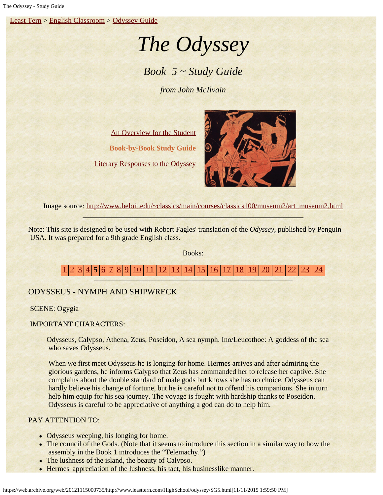[Least Tern](https://web.archive.org/web/20121115000735/http://www.leasttern.com/index.html) > [English Classroom](https://web.archive.org/web/20121115000735/http://www.leasttern.com/Engclass.html) > [Odyssey Guide](https://web.archive.org/web/20121115000735/http://www.leasttern.com/HighSchool/odyssey/Odyssey.html)

# *The Odyssey*

# *Book 5 ~ Study Guide*

*from John McIlvain*

[An Overview for the Student](https://web.archive.org/web/20121115000735/http://www.leasttern.com/HighSchool/odyssey/Odyssey1.html) **Book-by-Book Study Guide** [Literary Responses to the Odyssey](https://web.archive.org/web/20121115000735/http://www.leasttern.com/HighSchool/odyssey/Odysseyresponses.html)



Image source: [http://www.beloit.edu/~classics/main/courses/classics100/museum2/art\\_museum2.html](https://web.archive.org/web/20121115000735/http://www.beloit.edu/~classics/main/courses/classics100/museum2/art_museum2.html)

Note: This site is designed to be used with Robert Fagles' translation of the *Odyssey*, published by Penguin USA. It was prepared for a 9th grade English class.

Books:

[1](https://web.archive.org/web/20121115000735/http://www.leasttern.com/HighSchool/odyssey/SG1.html) [2](https://web.archive.org/web/20121115000735/http://www.leasttern.com/HighSchool/odyssey/SG2.html) [3](https://web.archive.org/web/20121115000735/http://www.leasttern.com/HighSchool/odyssey/SG3.html) [4](https://web.archive.org/web/20121115000735/http://www.leasttern.com/HighSchool/odyssey/SG4.html) **5** [6](https://web.archive.org/web/20121115000735/http://www.leasttern.com/HighSchool/odyssey/SG6.html) [7](https://web.archive.org/web/20121115000735/http://www.leasttern.com/HighSchool/odyssey/SG7.html) [8](https://web.archive.org/web/20121115000735/http://www.leasttern.com/HighSchool/odyssey/SG8.html) [9](https://web.archive.org/web/20121115000735/http://www.leasttern.com/HighSchool/odyssey/SG9.html) [10](https://web.archive.org/web/20121115000735/http://www.leasttern.com/HighSchool/odyssey/SG10.html) [11](https://web.archive.org/web/20121115000735/http://www.leasttern.com/HighSchool/odyssey/SG11.html) [12](https://web.archive.org/web/20121115000735/http://www.leasttern.com/HighSchool/odyssey/SG12.html) [13](https://web.archive.org/web/20121115000735/http://www.leasttern.com/HighSchool/odyssey/SG13.html) [14](https://web.archive.org/web/20121115000735/http://www.leasttern.com/HighSchool/odyssey/SG14.html) [15](https://web.archive.org/web/20121115000735/http://www.leasttern.com/HighSchool/odyssey/SG15.html) [16](https://web.archive.org/web/20121115000735/http://www.leasttern.com/HighSchool/odyssey/SG16.html) [17](https://web.archive.org/web/20121115000735/http://www.leasttern.com/HighSchool/odyssey/SG17.html) [18](https://web.archive.org/web/20121115000735/http://www.leasttern.com/HighSchool/odyssey/SG18.html) [19](https://web.archive.org/web/20121115000735/http://www.leasttern.com/HighSchool/odyssey/SG19.html) [20](https://web.archive.org/web/20121115000735/http://www.leasttern.com/HighSchool/odyssey/SG20.html) [21](https://web.archive.org/web/20121115000735/http://www.leasttern.com/HighSchool/odyssey/SG21.html) [22](https://web.archive.org/web/20121115000735/http://www.leasttern.com/HighSchool/odyssey/SG22.html) [23](https://web.archive.org/web/20121115000735/http://www.leasttern.com/HighSchool/odyssey/SG23.html) [24](https://web.archive.org/web/20121115000735/http://www.leasttern.com/HighSchool/odyssey/SG24.html)

# ODYSSEUS - NYMPH AND SHIPWRECK

SCENE: Ogygia

# IMPORTANT CHARACTERS:

Odysseus, Calypso, Athena, Zeus, Poseidon, A sea nymph. Ino/Leucothoe: A goddess of the sea who saves Odysseus.

 When we first meet Odysseus he is longing for home. Hermes arrives and after admiring the glorious gardens, he informs Calypso that Zeus has commanded her to release her captive. She complains about the double standard of male gods but knows she has no choice. Odysseus can hardly believe his change of fortune, but he is careful not to offend his companions. She in turn help him equip for his sea journey. The voyage is fought with hardship thanks to Poseidon. Odysseus is careful to be appreciative of anything a god can do to help him.

# PAY ATTENTION TO:

- Odysseus weeping, his longing for home.
- The council of the Gods. (Note that it seems to introduce this section in a similar way to how the assembly in the Book 1 introduces the "Telemachy.")
- The lushness of the island, the beauty of Calypso.
- Hermes' appreciation of the lushness, his tact, his businesslike manner.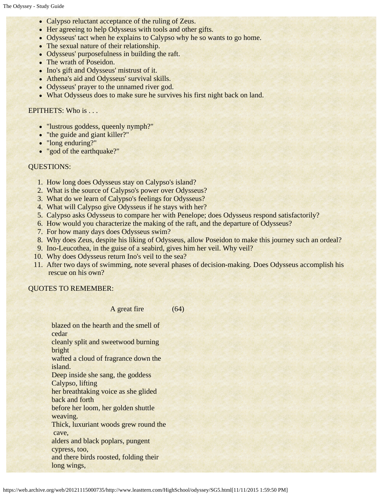- Calypso reluctant acceptance of the ruling of Zeus.
- Her agreeing to help Odysseus with tools and other gifts.
- Odysseus' tact when he explains to Calypso why he so wants to go home.
- The sexual nature of their relationship.
- Odysseus' purposefulness in building the raft.
- The wrath of Poseidon.
- Ino's gift and Odysseus' mistrust of it.
- Athena's aid and Odysseus' survival skills.
- Odysseus' prayer to the unnamed river god.
- What Odysseus does to make sure he survives his first night back on land.

#### EPITHETS: Who is . . .

- "lustrous goddess, queenly nymph?"
- "the guide and giant killer?"
- "long enduring?"
- "god of the earthquake?"

### QUESTIONS:

- 1. How long does Odysseus stay on Calypso's island?
- 2. What is the source of Calypso's power over Odysseus?
- 3. What do we learn of Calypso's feelings for Odysseus?
- 4. What will Calypso give Odysseus if he stays with her?
- 5. Calypso asks Odysseus to compare her with Penelope; does Odysseus respond satisfactorily?

(64)

- 6. How would you characterize the making of the raft, and the departure of Odysseus?
- 7. For how many days does Odysseus swim?
- 8. Why does Zeus, despite his liking of Odysseus, allow Poseidon to make this journey such an ordeal?
- 9. Ino-Leucothea, in the guise of a seabird, gives him her veil. Why veil?
- 10. Why does Odysseus return Ino's veil to the sea?
- 11. After two days of swimming, note several phases of decision-making. Does Odysseus accomplish his rescue on his own?

# QUOTES TO REMEMBER:

#### A great fire

blazed on the hearth and the smell of cedar

cleanly split and sweetwood burning bright

wafted a cloud of fragrance down the island.

Deep inside she sang, the goddess

Calypso, lifting

her breathtaking voice as she glided

back and forth before her loom, her golden shuttle

weaving.

Thick, luxuriant woods grew round the

cave,

alders and black poplars, pungent

cypress, too,

and there birds roosted, folding their long wings,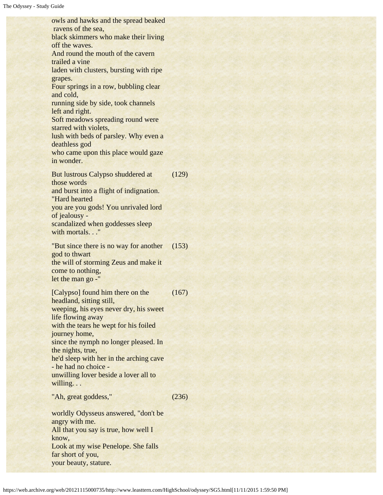owls and hawks and the spread beaked ravens of the sea, black skimmers who make their living off the waves. And round the mouth of the cavern trailed a vine laden with clusters, bursting with ripe grapes. Four springs in a row, bubbling clear and cold, running side by side, took channels left and right. Soft meadows spreading round were starred with violets, lush with beds of parsley. Why even a deathless god who came upon this place would gaze in wonder. But lustrous Calypso shuddered at those words and burst into a flight of indignation. "Hard hearted you are you gods! You unrivaled lord of jealousy scandalized when goddesses sleep with mortals..." (129) "But since there is no way for another god to thwart the will of storming Zeus and make it come to nothing, let the man go -" (153) [Calypso] found him there on the headland, sitting still, weeping, his eyes never dry, his sweet life flowing away with the tears he wept for his foiled journey home, since the nymph no longer pleased. In the nights, true, he'd sleep with her in the arching cave - he had no choice unwilling lover beside a lover all to willing... (167) "Ah, great goddess," worldly Odysseus answered, "don't be angry with me. (236)

All that you say is true, how well I know, Look at my wise Penelope. She falls far short of you, your beauty, stature.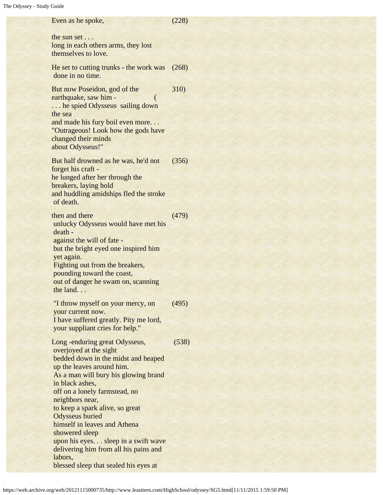Even as he spoke, the sun set . . . long in each others arms, they lost themselves to love. (228) He set to cutting trunks - the work was done in no time. (268) But now Poseidon, god of the earthquake, saw him - ( ... he spied Odysseus sailing down the sea and made his fury boil even more. . . "Outrageous! Look how the gods have changed their minds about Odysseus!" 310) But half drowned as he was, he'd not forget his craft he lunged after her through the breakers, laying hold and huddling amidships fled the stroke of death. (356) then and there unlucky Odysseus would have met his death against the will of fate but the bright eyed one inspired him yet again. Fighting out from the breakers, pounding toward the coast, out of danger he swam on, scanning the land. . . (479) "I throw myself on your mercy, on your current now. I have suffered greatly. Pity me lord, your suppliant cries for help." (495) Long -enduring great Odysseus, overjoyed at the sight bedded down in the midst and heaped up the leaves around him. As a man will bury his glowing brand in black ashes, off on a lonely farmstead, no neighbors near, to keep a spark alive, so great Odysseus buried himself in leaves and Athena showered sleep upon his eyes. . . sleep in a swift wave delivering him from all his pains and labors, blessed sleep that sealed his eyes at (538)